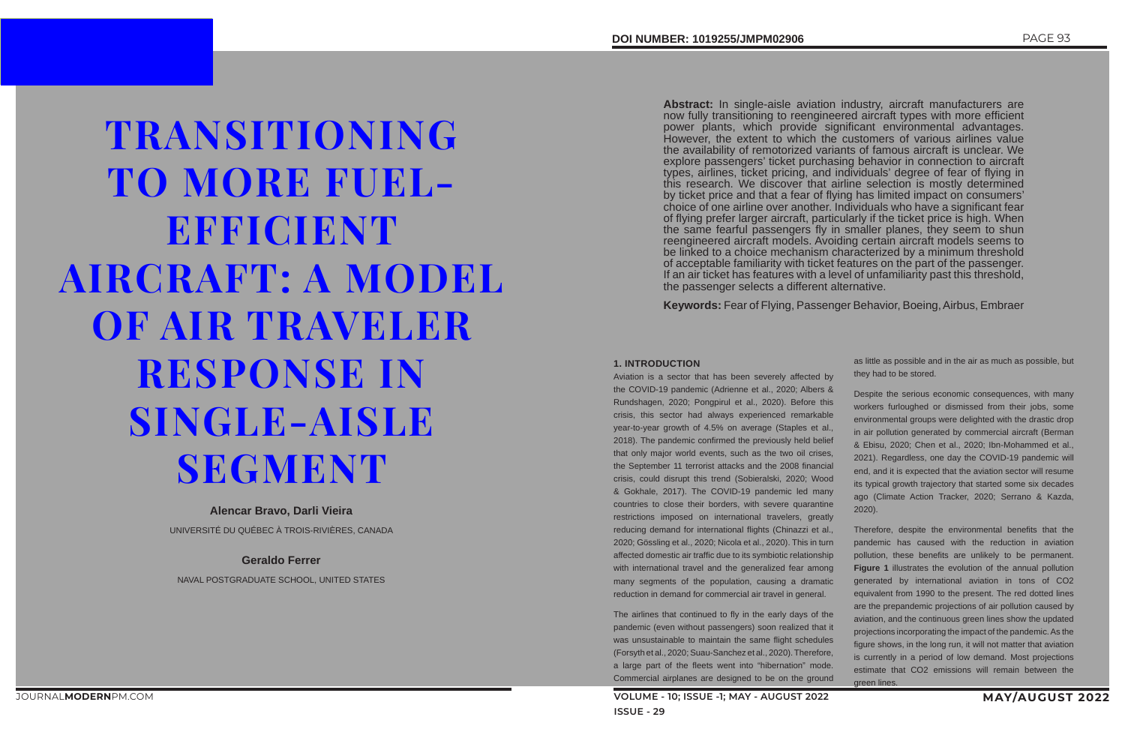# TRANSITIONING TO MORE FUEL-EFFICIENT AIRCRAFT: A MODEL OF AIR TRAVELER RESPONSE IN SINGLE-AISLE **SEGMENT**

#### **Alencar Bravo, Darli Vieira**

UNIVERSITÉ DU QUÉBEC À TROIS-RIVIÈRES, CANADA

#### **Geraldo Ferrer**

NAVAL POSTGRADUATE SCHOOL, UNITED STATES

**Abstract:** In single-aisle aviation industry, aircraft manufacturers are now fully transitioning to reengineered aircraft types with more efficient power plants, which provide significant environmental advantages. However, the extent to which the customers of various airlines value the availability of remotorized variants of famous aircraft is unclear. We explore passengers' ticket purchasing behavior in connection to aircraft types, airlines, ticket pricing, and individuals' degree of fear of flying in this research. We discover that airline selection is mostly determined by ticket price and that a fear of flying has limited impact on consumers' choice of one airline over another. Individuals who have a significant fear of flying prefer larger aircraft, particularly if the ticket price is high. When the same fearful passengers fly in smaller planes, they seem to shun reengineered aircraft models. Avoiding certain aircraft models seems to be linked to a choice mechanism characterized by a minimum threshold of acceptable familiarity with ticket features on the part of the passenger. If an air ticket has features with a level of unfamiliarity past this threshold, the passenger selects a different alternative.

**Keywords:** Fear of Flying, Passenger Behavior, Boeing, Airbus, Embraer

#### **1. INTRODUCTION**

Aviation is a sector that has been severely affected by the COVID-19 pandemic (Adrienne et al., 2020; Albers & Rundshagen, 2020; Pongpirul et al., 2020). Before this crisis, this sector had always experienced remarkable year-to-year growth of 4.5% on average (Staples et al., 2018). The pandemic confirmed the previously held belief that only major world events, such as the two oil crises, the September 11 terrorist attacks and the 2008 financial crisis, could disrupt this trend (Sobieralski, 2020; Wood & Gokhale, 2017). The COVID-19 pandemic led many countries to close their borders, with severe quarantine restrictions imposed on international travelers, greatly reducing demand for international flights (Chinazzi et al., 2020; Gössling et al., 2020; Nicola et al., 2020). This in turn affected domestic air traffic due to its symbiotic relationship with international travel and the generalized fear among many segments of the population, causing a dramatic reduction in demand for commercial air travel in general.

The airlines that continued to fly in the early days of the pandemic (even without passengers) soon realized that it was unsustainable to maintain the same flight schedules (Forsyth et al., 2020; Suau-Sanchez et al., 2020). Therefore, a large part of the fleets went into "hibernation" mode. Commercial airplanes are designed to be on the ground

as little as possible and in the air as much as possible, but they had to be stored.

Despite the serious economic consequences, with many workers furloughed or dismissed from their jobs, some environmental groups were delighted with the drastic drop in air pollution generated by commercial aircraft (Berman & Ebisu, 2020; Chen et al., 2020; Ibn-Mohammed et al., 2021). Regardless, one day the COVID-19 pandemic will end, and it is expected that the aviation sector will resume its typical growth trajectory that started some six decades ago (Climate Action Tracker, 2020; Serrano & Kazda, 2020).

Therefore, despite the environmental benefits that the pandemic has caused with the reduction in aviation pollution, these benefits are unlikely to be permanent. **Figure 1** illustrates the evolution of the annual pollution generated by international aviation in tons of CO2 equivalent from 1990 to the present. The red dotted lines are the prepandemic projections of air pollution caused by aviation, and the continuous green lines show the updated projections incorporating the impact of the pandemic. As the figure shows, in the long run, it will not matter that aviation is currently in a period of low demand. Most projections estimate that CO2 emissions will remain between the green lines.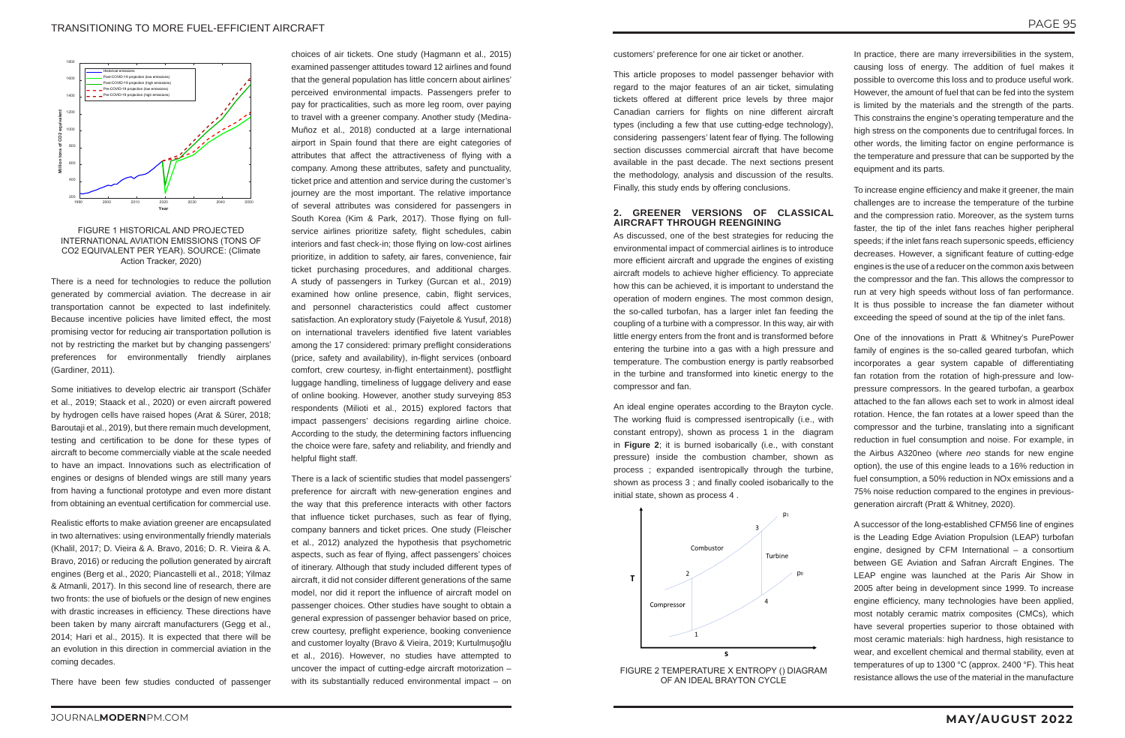

FIGURE 1 HISTORICAL AND PROJECTED INTERNATIONAL AVIATION EMISSIONS (TONS OF CO2 EQUIVALENT PER YEAR). SOURCE: (Climate Action Tracker, 2020)

There is a need for technologies to reduce the pollution generated by commercial aviation. The decrease in air transportation cannot be expected to last indefinitely. Because incentive policies have limited effect, the most promising vector for reducing air transportation pollution is not by restricting the market but by changing passengers' preferences for environmentally friendly airplanes (Gardiner, 2011).

Some initiatives to develop electric air transport (Schäfer et al., 2019; Staack et al., 2020) or even aircraft powered by hydrogen cells have raised hopes (Arat & Sürer, 2018; Baroutaji et al., 2019), but there remain much development, testing and certification to be done for these types of aircraft to become commercially viable at the scale needed to have an impact. Innovations such as electrification of engines or designs of blended wings are still many years from having a functional prototype and even more distant from obtaining an eventual certification for commercial use.

Realistic efforts to make aviation greener are encapsulated in two alternatives: using environmentally friendly materials (Khalil, 2017; D. Vieira & A. Bravo, 2016; D. R. Vieira & A. Bravo, 2016) or reducing the pollution generated by aircraft engines (Berg et al., 2020; Piancastelli et al., 2018; Yilmaz & Atmanli, 2017). In this second line of research, there are two fronts: the use of biofuels or the design of new engines with drastic increases in efficiency. These directions have been taken by many aircraft manufacturers (Gegg et al., 2014; Hari et al., 2015). It is expected that there will be an evolution in this direction in commercial aviation in the coming decades.

There is a lack of scientific studies that model passengers' preference for aircraft with new-generation engines and the way that this preference interacts with other factors that influence ticket purchases, such as fear of flying, company banners and ticket prices. One study (Fleischer et al., 2012) analyzed the hypothesis that psychometric aspects, such as fear of flying, affect passengers' choices of itinerary. Although that study included different types of aircraft, it did not consider different generations of the same model, nor did it report the influence of aircraft model on passenger choices. Other studies have sought to obtain a general expression of passenger behavior based on price, crew courtesy, preflight experience, booking convenience and customer loyalty (Bravo & Vieira, 2019; Kurtulmuşoğlu et al., 2016). However, no studies have attempted to uncover the impact of cutting-edge aircraft motorization – with its substantially reduced environmental impact - on

There have been few studies conducted of passenger

choices of air tickets. One study (Hagmann et al., 2015) examined passenger attitudes toward 12 airlines and found that the general population has little concern about airlines' perceived environmental impacts. Passengers prefer to pay for practicalities, such as more leg room, over paying to travel with a greener company. Another study (Medina-Muñoz et al., 2018) conducted at a large international airport in Spain found that there are eight categories of attributes that affect the attractiveness of flying with a company. Among these attributes, safety and punctuality, ticket price and attention and service during the customer's journey are the most important. The relative importance of several attributes was considered for passengers in South Korea (Kim & Park, 2017). Those flying on fullservice airlines prioritize safety, flight schedules, cabin interiors and fast check-in; those flying on low-cost airlines prioritize, in addition to safety, air fares, convenience, fair ticket purchasing procedures, and additional charges. A study of passengers in Turkey (Gurcan et al., 2019) examined how online presence, cabin, flight services, and personnel characteristics could affect customer satisfaction. An exploratory study (Faiyetole & Yusuf, 2018) on international travelers identified five latent variables among the 17 considered: primary preflight considerations (price, safety and availability), in-flight services (onboard comfort, crew courtesy, in-flight entertainment), postflight luggage handling, timeliness of luggage delivery and ease of online booking. However, another study surveying 853 respondents (Milioti et al., 2015) explored factors that impact passengers' decisions regarding airline choice. According to the study, the determining factors influencing the choice were fare, safety and reliability, and friendly and helpful flight staff.

customers' preference for one air ticket or another.

This article proposes to model passenger behavior with regard to the major features of an air ticket, simulating tickets offered at different price levels by three major Canadian carriers for flights on nine different aircraft types (including a few that use cutting-edge technology), considering passengers' latent fear of flying. The following section discusses commercial aircraft that have become available in the past decade. The next sections present the methodology, analysis and discussion of the results. Finally, this study ends by offering conclusions.

#### **2. GREENER VERSIONS OF CLASSICAL AIRCRAFT THROUGH REENGINING**

As discussed, one of the best strategies for reducing the environmental impact of commercial airlines is to introduce more efficient aircraft and upgrade the engines of existing aircraft models to achieve higher efficiency. To appreciate how this can be achieved, it is important to understand the operation of modern engines. The most common design, the so-called turbofan, has a larger inlet fan feeding the coupling of a turbine with a compressor. In this way, air with little energy enters from the front and is transformed before entering the turbine into a gas with a high pressure and temperature. The combustion energy is partly reabsorbed in the turbine and transformed into kinetic energy to the compressor and fan.

An ideal engine operates according to the Brayton cycle. The working fluid is compressed isentropically (i.e., with constant entropy), shown as process 1 in the diagram in **Figure 2**; it is burned isobarically (i.e., with constant pressure) inside the combustion chamber, shown as process ; expanded isentropically through the turbine, shown as process 3 ; and finally cooled isobarically to the initial state, shown as process 4 .



FIGURE 2 TEMPERATURE X ENTROPY () DIAGRAM OF AN IDEAL BRAYTON CYCLE

In practice, there are many irreversibilities in the system, causing loss of energy. The addition of fuel makes it possible to overcome this loss and to produce useful work. However, the amount of fuel that can be fed into the system is limited by the materials and the strength of the parts. This constrains the engine's operating temperature and the high stress on the components due to centrifugal forces. In other words, the limiting factor on engine performance is the temperature and pressure that can be supported by the equipment and its parts.

To increase engine efficiency and make it greener, the main challenges are to increase the temperature of the turbine and the compression ratio. Moreover, as the system turns faster, the tip of the inlet fans reaches higher peripheral speeds; if the inlet fans reach supersonic speeds, efficiency decreases. However, a significant feature of cutting-edge engines is the use of a reducer on the common axis between the compressor and the fan. This allows the compressor to run at very high speeds without loss of fan performance. It is thus possible to increase the fan diameter without exceeding the speed of sound at the tip of the inlet fans.

One of the innovations in Pratt & Whitney's PurePower family of engines is the so-called geared turbofan, which incorporates a gear system capable of differentiating fan rotation from the rotation of high-pressure and lowpressure compressors. In the geared turbofan, a gearbox attached to the fan allows each set to work in almost ideal rotation. Hence, the fan rotates at a lower speed than the compressor and the turbine, translating into a significant reduction in fuel consumption and noise. For example, in the Airbus A320neo (where *neo* stands for new engine option), the use of this engine leads to a 16% reduction in fuel consumption, a 50% reduction in NOx emissions and a 75% noise reduction compared to the engines in previousgeneration aircraft (Pratt & Whitney, 2020).

A successor of the long-established CFM56 line of engines is the Leading Edge Aviation Propulsion (LEAP) turbofan engine, designed by CFM International – a consortium between GE Aviation and Safran Aircraft Engines. The LEAP engine was launched at the Paris Air Show in 2005 after being in development since 1999. To increase engine efficiency, many technologies have been applied, most notably ceramic matrix composites (CMCs), which have several properties superior to those obtained with most ceramic materials: high hardness, high resistance to wear, and excellent chemical and thermal stability, even at temperatures of up to 1300 °C (approx. 2400 °F). This heat resistance allows the use of the material in the manufacture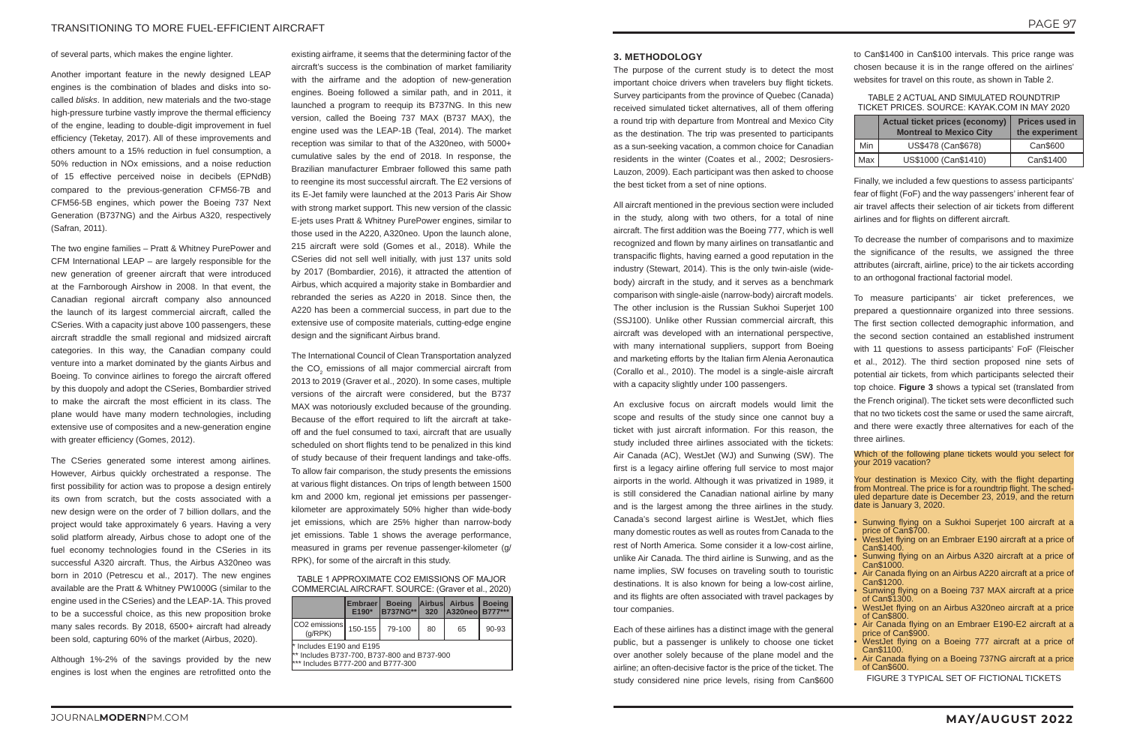of several parts, which makes the engine lighter.

Another important feature in the newly designed LEAP engines is the combination of blades and disks into socalled *blisks*. In addition, new materials and the two-stage high-pressure turbine vastly improve the thermal efficiency of the engine, leading to double-digit improvement in fuel efficiency (Teketay, 2017). All of these improvements and others amount to a 15% reduction in fuel consumption, a 50% reduction in NOx emissions, and a noise reduction of 15 effective perceived noise in decibels (EPNdB) compared to the previous-generation CFM56-7B and CFM56-5B engines, which power the Boeing 737 Next Generation (B737NG) and the Airbus A320, respectively (Safran, 2011).

The two engine families – Pratt & Whitney PurePower and CFM International LEAP – are largely responsible for the new generation of greener aircraft that were introduced at the Farnborough Airshow in 2008. In that event, the Canadian regional aircraft company also announced the launch of its largest commercial aircraft, called the CSeries. With a capacity just above 100 passengers, these aircraft straddle the small regional and midsized aircraft categories. In this way, the Canadian company could venture into a market dominated by the giants Airbus and Boeing. To convince airlines to forego the aircraft offered by this duopoly and adopt the CSeries, Bombardier strived to make the aircraft the most efficient in its class. The plane would have many modern technologies, including extensive use of composites and a new-generation engine with greater efficiency (Gomes, 2012).

The CSeries generated some interest among airlines. However, Airbus quickly orchestrated a response. The first possibility for action was to propose a design entirely its own from scratch, but the costs associated with a new design were on the order of 7 billion dollars, and the project would take approximately 6 years. Having a very solid platform already, Airbus chose to adopt one of the fuel economy technologies found in the CSeries in its successful A320 aircraft. Thus, the Airbus A320neo was born in 2010 (Petrescu et al., 2017). The new engines available are the Pratt & Whitney PW1000G (similar to the engine used in the CSeries) and the LEAP-1A. This proved to be a successful choice, as this new proposition broke many sales records. By 2018, 6500+ aircraft had already been sold, capturing 60% of the market (Airbus, 2020).

Although 1%-2% of the savings provided by the new engines is lost when the engines are retrofitted onto the

existing airframe, it seems that the determining factor of the aircraft's success is the combination of market familiarity with the airframe and the adoption of new-generation engines. Boeing followed a similar path, and in 2011, it launched a program to reequip its B737NG. In this new version, called the Boeing 737 MAX (B737 MAX), the engine used was the LEAP-1B (Teal, 2014). The market reception was similar to that of the A320neo, with 5000+ cumulative sales by the end of 2018. In response, the Brazilian manufacturer Embraer followed this same path to reengine its most successful aircraft. The E2 versions of its E-Jet family were launched at the 2013 Paris Air Show with strong market support. This new version of the classic E-jets uses Pratt & Whitney PurePower engines, similar to those used in the A220, A320neo. Upon the launch alone, 215 aircraft were sold (Gomes et al., 2018). While the CSeries did not sell well initially, with just 137 units sold by 2017 (Bombardier, 2016), it attracted the attention of Airbus, which acquired a majority stake in Bombardier and rebranded the series as A220 in 2018. Since then, the A220 has been a commercial success, in part due to the extensive use of composite materials, cutting-edge engine design and the significant Airbus brand.

The International Council of Clean Transportation analyzed the CO $_2$  emissions of all major commercial aircraft from 2013 to 2019 (Graver et al., 2020). In some cases, multiple versions of the aircraft were considered, but the B737 MAX was notoriously excluded because of the grounding. Because of the effort required to lift the aircraft at takeoff and the fuel consumed to taxi, aircraft that are usually scheduled on short flights tend to be penalized in this kind of study because of their frequent landings and take-offs. To allow fair comparison, the study presents the emissions at various flight distances. On trips of length between 1500 km and 2000 km, regional jet emissions per passengerkilometer are approximately 50% higher than wide-body jet emissions, which are 25% higher than narrow-body jet emissions. Table 1 shows the average performance, measured in grams per revenue passenger-kilometer (g/ RPK), for some of the aircraft in this study.

TABLE 1 APPROXIMATE CO2 EMISSIONS OF MAJOR COMMERCIAL AIRCRAFT. SOURCE: (Graver et al., 2020)

|                                                                                                                 | <b>Embraer</b><br>E190* | <b>Boeing</b><br><b>B737NG**</b> |    | Airbus Airbus<br>320   A320neo   B777*** | <b>Boeina</b> |  |  |  |
|-----------------------------------------------------------------------------------------------------------------|-------------------------|----------------------------------|----|------------------------------------------|---------------|--|--|--|
| <b>ICO2</b> emissions l<br>(q/RPK)                                                                              | 150-155                 | 79-100                           | 80 | 65                                       | $90 - 93$     |  |  |  |
| $*$ Includes E190 and E195<br>** Includes B737-700, B737-800 and B737-900<br>*** Includes B777-200 and B777-300 |                         |                                  |    |                                          |               |  |  |  |

- Sunwing flying on a Sukhoi Superjet 100 aircraft at a price of Can\$700.
- WestJet flying on an Embraer E190 aircraft at a price of<br>Can\$1400.
- Sunwing flying on an Airbus A320 aircraft at a price of Can\$1000.
- Air Canada flying on an Airbus A220 aircraft at a price of Can\$1200.
- Sunwing flying on a Boeing 737 MAX aircraft at a price of Can\$1300.
- WestJet flying on an Airbus A320neo aircraft at a price of Can\$800.
- Air Canada flying on an Embraer E190-E2 aircraft at a
- WestJet flying on a Boeing 777 aircraft at a price of Can\$1100.
- Air Canada flying on a Boeing 737NG aircraft at a price of Can\$600.

#### **3. METHODOLOGY**

The purpose of the current study is to detect the most important choice drivers when travelers buy flight tickets. Survey participants from the province of Quebec (Canada) received simulated ticket alternatives, all of them offering a round trip with departure from Montreal and Mexico City as the destination. The trip was presented to participants as a sun-seeking vacation, a common choice for Canadian residents in the winter (Coates et al., 2002; Desrosiers-Lauzon, 2009). Each participant was then asked to choose the best ticket from a set of nine options.

All aircraft mentioned in the previous section were included in the study, along with two others, for a total of nine aircraft. The first addition was the Boeing 777, which is well recognized and flown by many airlines on transatlantic and transpacific flights, having earned a good reputation in the industry (Stewart, 2014). This is the only twin-aisle (widebody) aircraft in the study, and it serves as a benchmark comparison with single-aisle (narrow-body) aircraft models. The other inclusion is the Russian Sukhoi Superjet 100 (SSJ100). Unlike other Russian commercial aircraft, this aircraft was developed with an international perspective, with many international suppliers, support from Boeing and marketing efforts by the Italian firm Alenia Aeronautica (Corallo et al., 2010). The model is a single-aisle aircraft with a capacity slightly under 100 passengers.

An exclusive focus on aircraft models would limit the scope and results of the study since one cannot buy a ticket with just aircraft information. For this reason, the study included three airlines associated with the tickets: Air Canada (AC), WestJet (WJ) and Sunwing (SW). The first is a legacy airline offering full service to most major airports in the world. Although it was privatized in 1989, it is still considered the Canadian national airline by many and is the largest among the three airlines in the study. Canada's second largest airline is WestJet, which flies many domestic routes as well as routes from Canada to the rest of North America. Some consider it a low-cost airline, unlike Air Canada. The third airline is Sunwing, and as the name implies, SW focuses on traveling south to touristic destinations. It is also known for being a low-cost airline, and its flights are often associated with travel packages by tour companies.

Each of these airlines has a distinct image with the general public, but a passenger is unlikely to choose one ticket over another solely because of the plane model and the airline; an often-decisive factor is the price of the ticket. The study considered nine price levels, rising from Can\$600

to Can\$1400 in Can\$100 intervals. This price range was chosen because it is in the range offered on the airlines' websites for travel on this route, as shown in Table 2.

#### TABLE 2 ACTUAL AND SIMULATED ROUNDTRIP TICKET PRICES. SOURCE: KAYAK.COM IN MAY 2020

|     | <b>Actual ticket prices (economy)</b><br><b>Montreal to Mexico City</b> | <b>Prices used in</b><br>the experiment |  |  |  |
|-----|-------------------------------------------------------------------------|-----------------------------------------|--|--|--|
| Min | US\$478 (Can\$678)                                                      | Can\$600                                |  |  |  |
| Max | US\$1000 (Can\$1410)                                                    | Can\$1400                               |  |  |  |

Finally, we included a few questions to assess participants' fear of flight (FoF) and the way passengers' inherent fear of air travel affects their selection of air tickets from different airlines and for flights on different aircraft.

To decrease the number of comparisons and to maximize the significance of the results, we assigned the three attributes (aircraft, airline, price) to the air tickets according to an orthogonal fractional factorial model.

To measure participants' air ticket preferences, we prepared a questionnaire organized into three sessions. The first section collected demographic information, and the second section contained an established instrument with 11 questions to assess participants' FoF (Fleischer et al., 2012). The third section proposed nine sets of potential air tickets, from which participants selected their top choice. **Figure 3** shows a typical set (translated from the French original). The ticket sets were deconflicted such that no two tickets cost the same or used the same aircraft, and there were exactly three alternatives for each of the three airlines.

FIGURE 3 TYPICAL SET OF FICTIONAL TICKETS

#### Which of the following plane tickets would you select for your 2019 vacation?

Your destination is Mexico City, with the flight departing from Montreal. The price is for a roundtrip flight. The scheduled departure date is December 23, 2019, and the return date is January 3, 2020.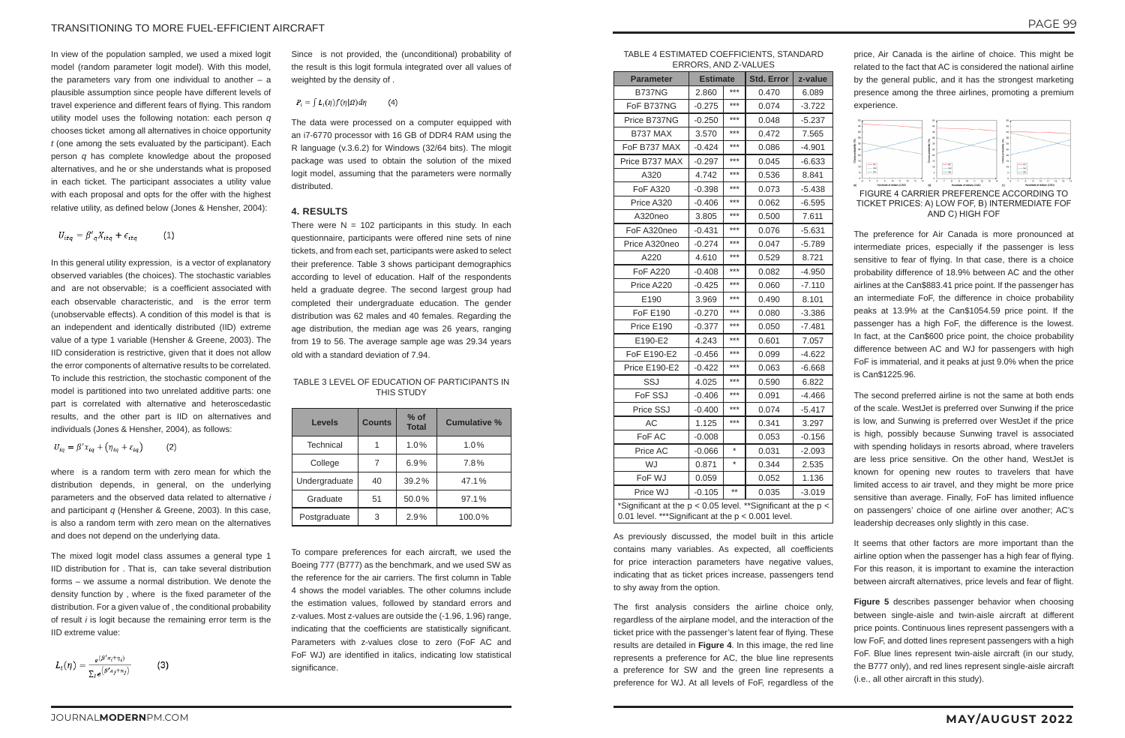In view of the population sampled, we used a mixed logit model (random parameter logit model). With this model, the parameters vary from one individual to another  $-$  a plausible assumption since people have different levels of travel experience and different fears of flying. This random utility model uses the following notation: each person *q* chooses ticket among all alternatives in choice opportunity *t* (one among the sets evaluated by the participant). Each person *q* has complete knowledge about the proposed alternatives, and he or she understands what is proposed in each ticket. The participant associates a utility value with each proposal and opts for the offer with the highest relative utility, as defined below (Jones & Hensher, 2004):

$$
U_{itq} = \beta'_{q} X_{itq} + \epsilon_{itq} \tag{1}
$$

In this general utility expression, is a vector of explanatory observed variables (the choices). The stochastic variables and are not observable; is a coefficient associated with each observable characteristic, and is the error term (unobservable effects). A condition of this model is that is an independent and identically distributed (IID) extreme value of a type 1 variable (Hensher & Greene, 2003). The IID consideration is restrictive, given that it does not allow the error components of alternative results to be correlated. To include this restriction, the stochastic component of the model is partitioned into two unrelated additive parts: one part is correlated with alternative and heteroscedastic results, and the other part is IID on alternatives and individuals (Jones & Hensher, 2004), as follows:

$$
U_{iq} = \beta' x_{iq} + (\eta_{iq} + \varepsilon_{iq}) \tag{2}
$$

There were  $N = 102$  participants in this study. In each questionnaire, participants were offered nine sets of nine tickets, and from each set, participants were asked to select their preference. Table 3 shows participant demographics according to level of education. Half of the respondents held a graduate degree. The second largest group had completed their undergraduate education. The gender distribution was 62 males and 40 females. Regarding the age distribution, the median age was 26 years, ranging from 19 to 56. The average sample age was 29.34 years old with a standard deviation of 7.94.

To compare preferences for each aircraft, we used the Boeing 777 (B777) as the benchmark, and we used SW as the reference for the air carriers. The first column in Table 4 shows the model variables. The other columns include the estimation values, followed by standard errors and z-values. Most z-values are outside the (-1.96, 1.96) range, indicating that the coefficients are statistically significant. Parameters with z-values close to zero (FoF AC and FoF WJ) are identified in italics, indicating low statistical significance.

where is a random term with zero mean for which the distribution depends, in general, on the underlying parameters and the observed data related to alternative *i* and participant *q* (Hensher & Greene, 2003). In this case, is also a random term with zero mean on the alternatives and does not depend on the underlying data.

The mixed logit model class assumes a general type 1 IID distribution for . That is, can take several distribution forms – we assume a normal distribution. We denote the density function by , where is the fixed parameter of the distribution. For a given value of , the conditional probability of result *i* is logit because the remaining error term is the IID extreme value:

$$
L_i(\eta) = \frac{e^{(\beta' x_i + \eta_i)}}{\sum_{j} e^{(\beta' x_j + \eta_j)}}
$$
(3)

Since is not provided, the (unconditional) probability of the result is this logit formula integrated over all values of weighted by the density of .

#### $P_i = \int L_i(\eta) f(\eta|\Omega) d\eta$  $(4)$

The data were processed on a computer equipped with an i7-6770 processor with 16 GB of DDR4 RAM using the R language (v.3.6.2) for Windows (32/64 bits). The mlogit package was used to obtain the solution of the mixed logit model, assuming that the parameters were normally distributed.

#### **4. RESULTS**

#### TABLE 3 LEVEL OF EDUCATION OF PARTICIPANTS IN THIS STUDY

| <b>Levels</b>    | <b>Counts</b> | $%$ of<br><b>Total</b> | <b>Cumulative %</b> |  |
|------------------|---------------|------------------------|---------------------|--|
| <b>Technical</b> |               | 1.0%                   | 1.0%                |  |
| College          |               | 6.9%                   | 7.8%                |  |
| Undergraduate    | 40            | 39.2%                  | 47.1%               |  |
| Graduate         | 51            | 50.0%                  | 97.1%               |  |
| Postgraduate     | 3             | 2.9%                   | 100.0%              |  |

TABLE 4 ESTIMATED COEFFICIENTS, STANDARD ERRORS, AND Z-VALUES

| <b>Parameter</b>                                                                                                      | <b>Estimate</b> |                 | <b>Std. Error</b> | z-value  |  |
|-----------------------------------------------------------------------------------------------------------------------|-----------------|-----------------|-------------------|----------|--|
| <b>B737NG</b>                                                                                                         | 2.860           | $***$           | 0.470             | 6.089    |  |
| FoF B737NG                                                                                                            | $-0.275$        | $***$           | 0.074             | $-3.722$ |  |
| Price B737NG                                                                                                          | -0.250          | $***$           | 0.048             | $-5.237$ |  |
| <b>B737 MAX</b>                                                                                                       | 3.570           | $***$           | 0.472             | 7.565    |  |
| FoF B737 MAX                                                                                                          | $-0.424$        | $***$           | 0.086             | $-4.901$ |  |
| Price B737 MAX                                                                                                        | $-0.297$        | $***$           | 0.045             | $-6.633$ |  |
| A320                                                                                                                  | 4.742           | $***$           | 0.536             | 8.841    |  |
| <b>FoF A320</b>                                                                                                       | $-0.398$        | $***$           | 0.073             | $-5.438$ |  |
| Price A320                                                                                                            | $-0.406$        | $***$           | 0.062             | $-6.595$ |  |
| A320neo                                                                                                               | 3.805           | $***$           | 0.500             | 7.611    |  |
| FoF A320neo                                                                                                           | $-0.431$        | $***$           | 0.076             | $-5.631$ |  |
| Price A320neo                                                                                                         | $-0.274$        | $***$           | 0.047             | $-5.789$ |  |
| A220                                                                                                                  | 4.610           | $***$           | 0.529             | 8.721    |  |
| <b>FoF A220</b>                                                                                                       | $-0.408$        | $***$           | 0.082             | $-4.950$ |  |
| Price A220                                                                                                            | -0.425          | $***$           | 0.060             | $-7.110$ |  |
| E190                                                                                                                  | 3.969           | $***$           | 0.490             | 8.101    |  |
| <b>FoF E190</b>                                                                                                       | $-0.270$        | $***$           | 0.080             | $-3.386$ |  |
| Price E190                                                                                                            | $-0.377$        | $***$           | 0.050             | $-7.481$ |  |
| E190-E2                                                                                                               | 4.243           | $***$           | 0.601             | 7.057    |  |
| FoF E190-E2                                                                                                           | -0.456          | ***             | 0.099             | -4.622   |  |
| <b>Price E190-E2</b>                                                                                                  | $-0.422$        | $***$           | 0.063             | $-6.668$ |  |
| SSJ                                                                                                                   | 4.025           | $***$           | 0.590             | 6.822    |  |
| FoF SSJ                                                                                                               | $-0.406$        | $***$           | 0.091             | $-4.466$ |  |
| Price SSJ                                                                                                             | $-0.400$        | $***$           | 0.074             | $-5.417$ |  |
| АC                                                                                                                    | 1.125           | $***$           | 0.341             | 3.297    |  |
| FoF AC                                                                                                                | $-0.008$        |                 | 0.053             | $-0.156$ |  |
| Price AC                                                                                                              | $-0.066$        | $^\star$        | 0.031             | $-2.093$ |  |
| WJ                                                                                                                    | 0.871           | $^{\star}$      | 0.344             | 2.535    |  |
| FoF WJ                                                                                                                | 0.059           |                 | 0.052             | 1.136    |  |
| Price WJ                                                                                                              | $-0.105$        | $^{\star\star}$ | 0.035             | -3.019   |  |
| *Significant at the p < 0.05 level. **Significant at the p <<br>0.01 level. *** Significant at the $p < 0.001$ level. |                 |                 |                   |          |  |

As previously discussed, the model built in this article contains many variables. As expected, all coefficients for price interaction parameters have negative values, indicating that as ticket prices increase, passengers tend to shy away from the option.

The first analysis considers the airline choice only, regardless of the airplane model, and the interaction of the ticket price with the passenger's latent fear of flying. These results are detailed in **Figure 4**. In this image, the red line represents a preference for AC, the blue line represents a preference for SW and the green line represents a preference for WJ. At all levels of FoF, regardless of the

price, Air Canada is the airline of choice. This might be related to the fact that AC is considered the national airline by the general public, and it has the strongest marketing presence among the three airlines, promoting a premium experience.



FIGURE 4 CARRIER PREFERENCE ACCORDING TO TICKET PRICES: A) LOW FOF, B) INTERMEDIATE FOF AND C) HIGH FOF

The preference for Air Canada is more pronounced at intermediate prices, especially if the passenger is less sensitive to fear of flying. In that case, there is a choice probability difference of 18.9% between AC and the other airlines at the Can\$883.41 price point. If the passenger has an intermediate FoF, the difference in choice probability peaks at 13.9% at the Can\$1054.59 price point. If the passenger has a high FoF, the difference is the lowest. In fact, at the Can\$600 price point, the choice probability difference between AC and WJ for passengers with high FoF is immaterial, and it peaks at just 9.0% when the price is Can\$1225.96.

The second preferred airline is not the same at both ends of the scale. WestJet is preferred over Sunwing if the price is low, and Sunwing is preferred over WestJet if the price is high, possibly because Sunwing travel is associated with spending holidays in resorts abroad, where travelers are less price sensitive. On the other hand, WestJet is known for opening new routes to travelers that have limited access to air travel, and they might be more price sensitive than average. Finally, FoF has limited influence on passengers' choice of one airline over another; AC's leadership decreases only slightly in this case.

It seems that other factors are more important than the airline option when the passenger has a high fear of flying. For this reason, it is important to examine the interaction between aircraft alternatives, price levels and fear of flight.

**Figure 5** describes passenger behavior when choosing between single-aisle and twin-aisle aircraft at different price points. Continuous lines represent passengers with a low FoF, and dotted lines represent passengers with a high FoF. Blue lines represent twin-aisle aircraft (in our study, the B777 only), and red lines represent single-aisle aircraft (i.e., all other aircraft in this study).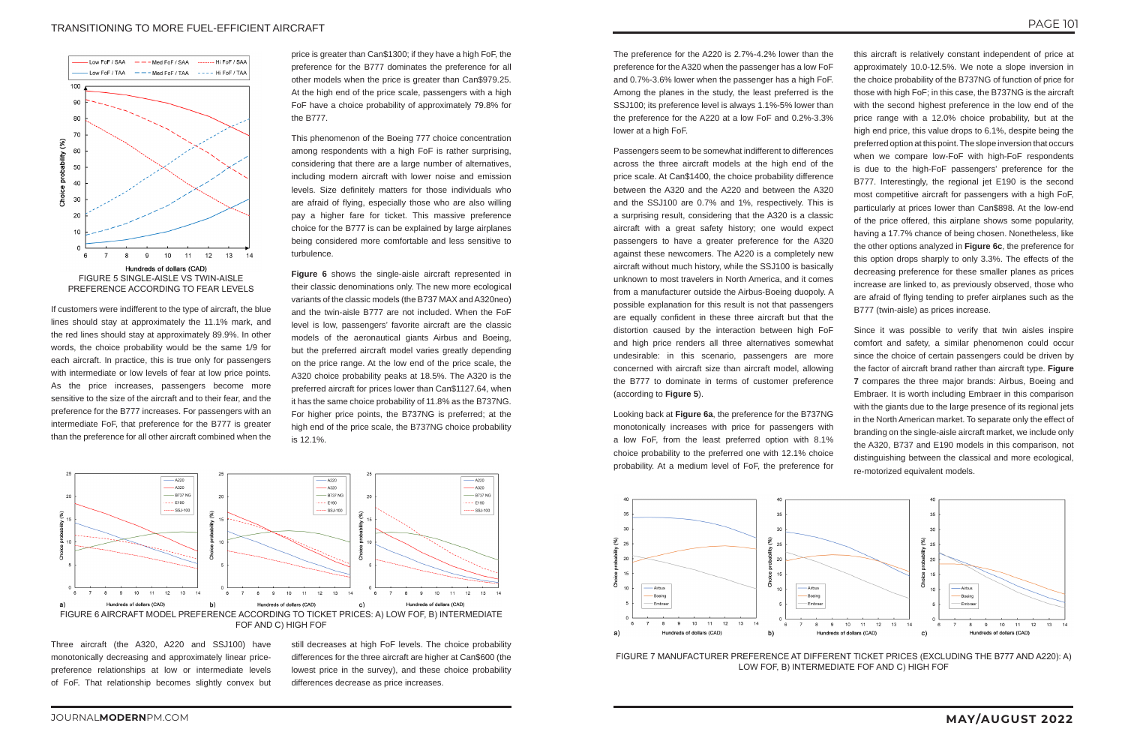#### TRANSITIONING TO MORE FUEL-EFFICIENT AIRCRAFT



If customers were indifferent to the type of aircraft, the blue lines should stay at approximately the 11.1% mark, and the red lines should stay at approximately 89.9%. In other words, the choice probability would be the same 1/9 for each aircraft. In practice, this is true only for passengers with intermediate or low levels of fear at low price points. As the price increases, passengers become more sensitive to the size of the aircraft and to their fear, and the preference for the B777 increases. For passengers with an intermediate FoF, that preference for the B777 is greater than the preference for all other aircraft combined when the

price is greater than Can\$1300; if they have a high FoF, the preference for the B777 dominates the preference for all other models when the price is greater than Can\$979.25. At the high end of the price scale, passengers with a high FoF have a choice probability of approximately 79.8% for the B777.

This phenomenon of the Boeing 777 choice concentration among respondents with a high FoF is rather surprising, considering that there are a large number of alternatives, including modern aircraft with lower noise and emission levels. Size definitely matters for those individuals who are afraid of flying, especially those who are also willing pay a higher fare for ticket. This massive preference choice for the B777 is can be explained by large airplanes being considered more comfortable and less sensitive to turbulence.

**Figure 6** shows the single-aisle aircraft represented in their classic denominations only. The new more ecological variants of the classic models (the B737 MAX and A320neo) and the twin-aisle B777 are not included. When the FoF level is low, passengers' favorite aircraft are the classic models of the aeronautical giants Airbus and Boeing, but the preferred aircraft model varies greatly depending on the price range. At the low end of the price scale, the A320 choice probability peaks at 18.5%. The A320 is the preferred aircraft for prices lower than Can\$1127.64, when it has the same choice probability of 11.8% as the B737NG. For higher price points, the B737NG is preferred; at the high end of the price scale, the B737NG choice probability is 12.1%.

The preference for the A220 is 2.7%-4.2% lower than the preference for the A320 when the passenger has a low FoF and 0.7%-3.6% lower when the passenger has a high FoF. Among the planes in the study, the least preferred is the SSJ100; its preference level is always 1.1%-5% lower than the preference for the A220 at a low FoF and 0.2%-3.3% lower at a high FoF.

Passengers seem to be somewhat indifferent to differences across the three aircraft models at the high end of the price scale. At Can\$1400, the choice probability difference between the A320 and the A220 and between the A320 and the SSJ100 are 0.7% and 1%, respectively. This is a surprising result, considering that the A320 is a classic aircraft with a great safety history; one would expect passengers to have a greater preference for the A320 against these newcomers. The A220 is a completely new aircraft without much history, while the SSJ100 is basically unknown to most travelers in North America, and it comes from a manufacturer outside the Airbus-Boeing duopoly. A possible explanation for this result is not that passengers are equally confident in these three aircraft but that the distortion caused by the interaction between high FoF and high price renders all three alternatives somewhat undesirable: in this scenario, passengers are more concerned with aircraft size than aircraft model, allowing the B777 to dominate in terms of customer preference (according to **Figure 5**).

Looking back at **Figure 6a**, the preference for the B737NG monotonically increases with price for passengers with a low FoF, from the least preferred option with 8.1% choice probability to the preferred one with 12.1% choice probability. At a medium level of FoF, the preference for

this aircraft is relatively constant independent of price at approximately 10.0-12.5%. We note a slope inversion in the choice probability of the B737NG of function of price for those with high FoF; in this case, the B737NG is the aircraft with the second highest preference in the low end of the price range with a 12.0% choice probability, but at the high end price, this value drops to 6.1%, despite being the preferred option at this point. The slope inversion that occurs when we compare low-FoF with high-FoF respondents is due to the high-FoF passengers' preference for the B777. Interestingly, the regional jet E190 is the second most competitive aircraft for passengers with a high FoF, particularly at prices lower than Can\$898. At the low-end of the price offered, this airplane shows some popularity, having a 17.7% chance of being chosen. Nonetheless, like the other options analyzed in **Figure 6c**, the preference for this option drops sharply to only 3.3%. The effects of the decreasing preference for these smaller planes as prices increase are linked to, as previously observed, those who are afraid of flying tending to prefer airplanes such as the B777 (twin-aisle) as prices increase.

Since it was possible to verify that twin aisles inspire comfort and safety, a similar phenomenon could occur since the choice of certain passengers could be driven by the factor of aircraft brand rather than aircraft type. **Figure 7** compares the three major brands: Airbus, Boeing and Embraer. It is worth including Embraer in this comparison with the giants due to the large presence of its regional jets in the North American market. To separate only the effect of branding on the single-aisle aircraft market, we include only the A320, B737 and E190 models in this comparison, not distinguishing between the classical and more ecological, re-motorized equivalent models.



Three aircraft (the A320, A220 and SSJ100) have monotonically decreasing and approximately linear pricepreference relationships at low or intermediate levels of FoF. That relationship becomes slightly convex but

still decreases at high FoF levels. The choice probability differences for the three aircraft are higher at Can\$600 (the lowest price in the survey), and these choice probability differences decrease as price increases.





LOW FOF, B) INTERMEDIATE FOF AND C) HIGH FOF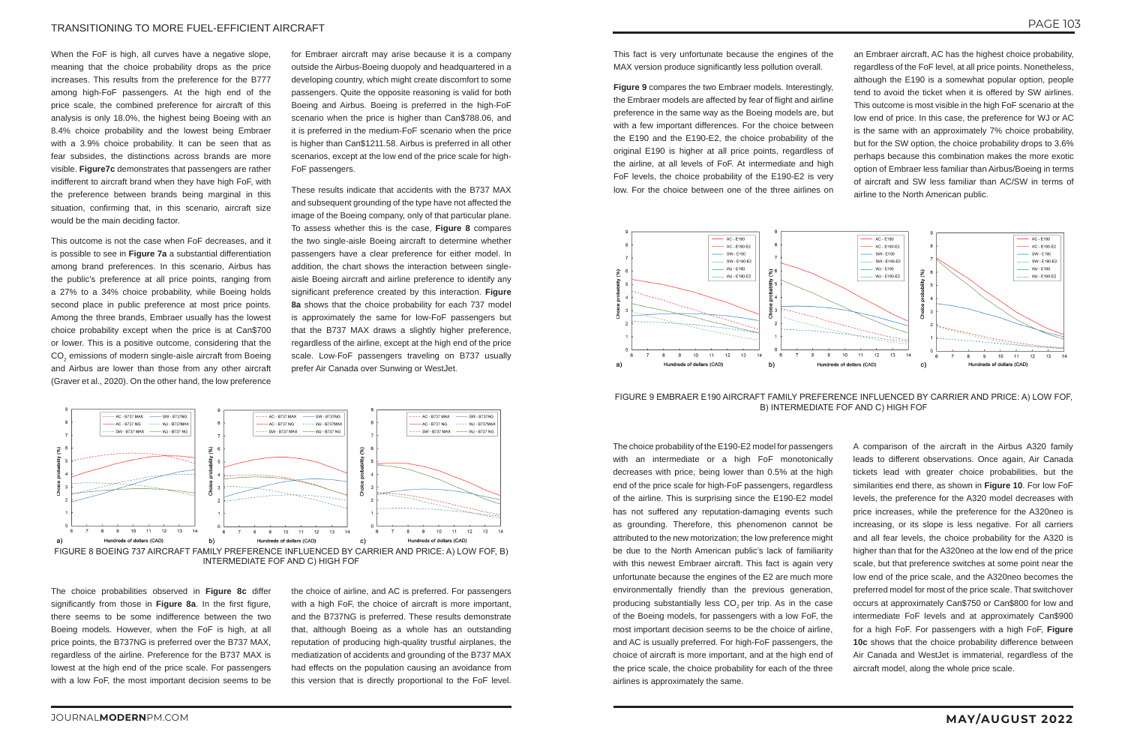When the FoF is high, all curves have a negative slope, meaning that the choice probability drops as the price increases. This results from the preference for the B777 among high-FoF passengers. At the high end of the price scale, the combined preference for aircraft of this analysis is only 18.0%, the highest being Boeing with an 8.4% choice probability and the lowest being Embraer with a 3.9% choice probability. It can be seen that as fear subsides, the distinctions across brands are more visible. **Figure7c** demonstrates that passengers are rather indifferent to aircraft brand when they have high FoF, with the preference between brands being marginal in this situation, confirming that, in this scenario, aircraft size would be the main deciding factor.

This outcome is not the case when FoF decreases, and it is possible to see in **Figure 7a** a substantial differentiation among brand preferences. In this scenario, Airbus has the public's preference at all price points, ranging from a 27% to a 34% choice probability, while Boeing holds second place in public preference at most price points. Among the three brands, Embraer usually has the lowest choice probability except when the price is at Can\$700 or lower. This is a positive outcome, considering that the  $\mathsf{CO}_2$  emissions of modern single-aisle aircraft from Boeing and Airbus are lower than those from any other aircraft (Graver et al., 2020). On the other hand, the low preference

for Embraer aircraft may arise because it is a company outside the Airbus-Boeing duopoly and headquartered in a developing country, which might create discomfort to some passengers. Quite the opposite reasoning is valid for both Boeing and Airbus. Boeing is preferred in the high-FoF scenario when the price is higher than Can\$788.06, and it is preferred in the medium-FoF scenario when the price is higher than Can\$1211.58. Airbus is preferred in all other scenarios, except at the low end of the price scale for high-FoF passengers.

These results indicate that accidents with the B737 MAX and subsequent grounding of the type have not affected the image of the Boeing company, only of that particular plane. To assess whether this is the case, **Figure 8** compares the two single-aisle Boeing aircraft to determine whether passengers have a clear preference for either model. In addition, the chart shows the interaction between singleaisle Boeing aircraft and airline preference to identify any significant preference created by this interaction. **Figure 8a** shows that the choice probability for each 737 model is approximately the same for low-FoF passengers but that the B737 MAX draws a slightly higher preference, regardless of the airline, except at the high end of the price scale. Low-FoF passengers traveling on B737 usually prefer Air Canada over Sunwing or WestJet.

This fact is very unfortunate because the engines of the MAX version produce significantly less pollution overall.

**Figure 9** compares the two Embraer models. Interestingly, the Embraer models are affected by fear of flight and airline preference in the same way as the Boeing models are, but with a few important differences. For the choice between the E190 and the E190-E2, the choice probability of the original E190 is higher at all price points, regardless of the airline, at all levels of FoF. At intermediate and high FoF levels, the choice probability of the E190-E2 is very low. For the choice between one of the three airlines on

an Embraer aircraft, AC has the highest choice probability, regardless of the FoF level, at all price points. Nonetheless, although the E190 is a somewhat popular option, people tend to avoid the ticket when it is offered by SW airlines. This outcome is most visible in the high FoF scenario at the low end of price. In this case, the preference for WJ or AC is the same with an approximately 7% choice probability, but for the SW option, the choice probability drops to 3.6% perhaps because this combination makes the more exotic option of Embraer less familiar than Airbus/Boeing in terms of aircraft and SW less familiar than AC/SW in terms of airline to the North American public.



INTERMEDIATE FOF AND C) HIGH FOF

The choice probabilities observed in **Figure 8c** differ significantly from those in **Figure 8a**. In the first figure, there seems to be some indifference between the two Boeing models. However, when the FoF is high, at all price points, the B737NG is preferred over the B737 MAX, regardless of the airline. Preference for the B737 MAX is lowest at the high end of the price scale. For passengers with a low FoF, the most important decision seems to be

the choice of airline, and AC is preferred. For passengers with a high FoF, the choice of aircraft is more important, and the B737NG is preferred. These results demonstrate that, although Boeing as a whole has an outstanding reputation of producing high-quality trustful airplanes, the mediatization of accidents and grounding of the B737 MAX had effects on the population causing an avoidance from this version that is directly proportional to the FoF level.



FIGURE 9 EMBRAER E190 AIRCRAFT FAMILY PREFERENCE INFLUENCED BY CARRIER AND PRICE: A) LOW FOF, B) INTERMEDIATE FOF AND C) HIGH FOF

The choice probability of the E190-E2 model for passengers with an intermediate or a high FoF monotonically decreases with price, being lower than 0.5% at the high end of the price scale for high-FoF passengers, regardless of the airline. This is surprising since the E190-E2 model has not suffered any reputation-damaging events such as grounding. Therefore, this phenomenon cannot be attributed to the new motorization; the low preference might be due to the North American public's lack of familiarity with this newest Embraer aircraft. This fact is again very unfortunate because the engines of the E2 are much more environmentally friendly than the previous generation, producing substantially less CO<sub>2</sub> per trip. As in the case of the Boeing models, for passengers with a low FoF, the most important decision seems to be the choice of airline, and AC is usually preferred. For high-FoF passengers, the choice of aircraft is more important, and at the high end of the price scale, the choice probability for each of the three airlines is approximately the same.

A comparison of the aircraft in the Airbus A320 family leads to different observations. Once again, Air Canada tickets lead with greater choice probabilities, but the similarities end there, as shown in **Figure 10**. For low FoF levels, the preference for the A320 model decreases with price increases, while the preference for the A320neo is increasing, or its slope is less negative. For all carriers and all fear levels, the choice probability for the A320 is higher than that for the A320neo at the low end of the price scale, but that preference switches at some point near the low end of the price scale, and the A320neo becomes the preferred model for most of the price scale. That switchover occurs at approximately Can\$750 or Can\$800 for low and intermediate FoF levels and at approximately Can\$900 for a high FoF. For passengers with a high FoF, **Figure 10c** shows that the choice probability difference between Air Canada and WestJet is immaterial, regardless of the aircraft model, along the whole price scale.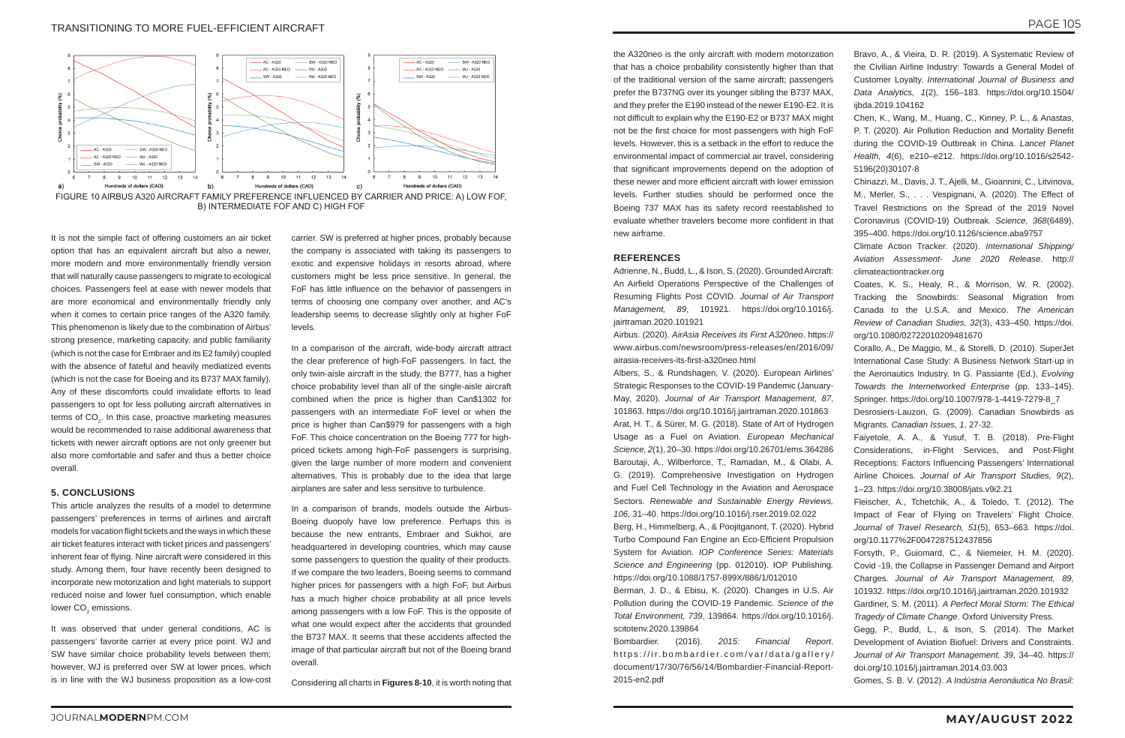It is not the simple fact of offering customers an air ticket option that has an equivalent aircraft but also a newer, more modern and more environmentally friendly version that will naturally cause passengers to migrate to ecological choices. Passengers feel at ease with newer models that are more economical and environmentally friendly only when it comes to certain price ranges of the A320 family. This phenomenon is likely due to the combination of Airbus' strong presence, marketing capacity, and public familiarity (which is not the case for Embraer and its E2 family) coupled with the absence of fateful and heavily mediatized events (which is not the case for Boeing and its B737 MAX family). Any of these discomforts could invalidate efforts to lead passengers to opt for less polluting aircraft alternatives in terms of CO $_2^{\vphantom{1}}$ . In this case, proactive marketing measures would be recommended to raise additional awareness that tickets with newer aircraft options are not only greener but also more comfortable and safer and thus a better choice overall.

This article analyzes the results of a model to determine passengers' preferences in terms of airlines and aircraft models for vacation flight tickets and the ways in which these air ticket features interact with ticket prices and passengers' inherent fear of flying. Nine aircraft were considered in this study. Among them, four have recently been designed to incorporate new motorization and light materials to support reduced noise and lower fuel consumption, which enable lower CO<sub>2</sub> emissions.

#### **5. CONCLUSIONS**

It was observed that under general conditions, AC is passengers' favorite carrier at every price point. WJ and SW have similar choice probability levels between them; however, WJ is preferred over SW at lower prices, which is in line with the WJ business proposition as a low-cost

carrier. SW is preferred at higher prices, probably because the company is associated with taking its passengers to exotic and expensive holidays in resorts abroad, where customers might be less price sensitive. In general, the FoF has little influence on the behavior of passengers in terms of choosing one company over another, and AC's leadership seems to decrease slightly only at higher FoF levels.

In a comparison of the aircraft, wide-body aircraft attract the clear preference of high-FoF passengers. In fact, the only twin-aisle aircraft in the study, the B777, has a higher choice probability level than all of the single-aisle aircraft combined when the price is higher than Can\$1302 for passengers with an intermediate FoF level or when the price is higher than Can\$979 for passengers with a high FoF. This choice concentration on the Boeing 777 for highpriced tickets among high-FoF passengers is surprising, given the large number of more modern and convenient alternatives. This is probably due to the idea that large airplanes are safer and less sensitive to turbulence.

In a comparison of brands, models outside the Airbus-Boeing duopoly have low preference. Perhaps this is because the new entrants, Embraer and Sukhoi, are headquartered in developing countries, which may cause some passengers to question the quality of their products. If we compare the two leaders, Boeing seems to command higher prices for passengers with a high FoF, but Airbus has a much higher choice probability at all price levels among passengers with a low FoF. This is the opposite of what one would expect after the accidents that grounded the B737 MAX. It seems that these accidents affected the image of that particular aircraft but not of the Boeing brand overall.

Considering all charts in **Figures 8-10**, it is worth noting that

the A320neo is the only aircraft with modern motorization that has a choice probability consistently higher than that of the traditional version of the same aircraft; passengers prefer the B737NG over its younger sibling the B737 MAX, and they prefer the E190 instead of the newer E190-E2. It is not difficult to explain why the E190-E2 or B737 MAX might not be the first choice for most passengers with high FoF levels. However, this is a setback in the effort to reduce the environmental impact of commercial air travel, considering that significant improvements depend on the adoption of these newer and more efficient aircraft with lower emission levels. Further studies should be performed once the Boeing 737 MAX has its safety record reestablished to evaluate whether travelers become more confident in that new airframe.

#### **REFERENCES**

Adrienne, N., Budd, L., & Ison, S. (2020). Grounded Aircraft: An Airfield Operations Perspective of the Challenges of Resuming Flights Post COVID. *Journal of Air Transport Management, 89*, 101921. https://doi.org/10.1016/j. jairtraman.2020.101921

Airbus. (2020). *AirAsia Receives its First A320neo*. https:// www.airbus.com/newsroom/press-releases/en/2016/09/ airasia-receives-its-first-a320neo.html

Albers, S., & Rundshagen, V. (2020). European Airlines' Strategic Responses to the COVID-19 Pandemic (January-May, 2020). *Journal of Air Transport Management, 87*, 101863. https://doi.org/10.1016/j.jairtraman.2020.101863 Arat, H. T., & Sürer, M. G. (2018). State of Art of Hydrogen Usage as a Fuel on Aviation. *European Mechanical Science, 2*(1), 20–30. https://doi.org/10.26701/ems.364286 Baroutaji, A., Wilberforce, T., Ramadan, M., & Olabi, A. G. (2019). Comprehensive Investigation on Hydrogen and Fuel Cell Technology in the Aviation and Aerospace Sectors. *Renewable and Sustainable Energy Reviews, 106*, 31–40. https://doi.org/10.1016/j.rser.2019.02.022 Berg, H., Himmelberg, A., & Poojitganont, T. (2020). Hybrid Turbo Compound Fan Engine an Eco-Efficient Propulsion

System for Aviation. *IOP Conference Series: Materials Science and Engineering* (pp. 012010). IOP Publishing*.* https://doi.org/10.1088/1757-899X/886/1/012010

Berman, J. D., & Ebisu, K. (2020). Changes in U.S. Air Pollution during the COVID-19 Pandemic. *Science of the Total Environment, 739*, 139864. https://doi.org/10.1016/j. scitotenv.2020.139864

Bombardier. (2016). *2015: Financial Report*. https://ir.bombardier.com/var/data/gallery/ document/17/30/76/56/14/Bombardier-Financial-Report-2015-en2.pdf

- Bravo, A., & Vieira, D. R. (2019). A Systematic Review of the Civilian Airline Industry: Towards a General Model of Customer Loyalty. *International Journal of Business and Data Analytics, 1*(2), 156–183. https://doi.org/10.1504/ ijbda.2019.104162
- Chen, K., Wang, M., Huang, C., Kinney, P. L., & Anastas, P. T. (2020). Air Pollution Reduction and Mortality Benefit during the COVID-19 Outbreak in China. *Lancet Planet Health, 4*(6), e210–e212. https://doi.org/10.1016/s2542- 5196(20)30107-8
- Chinazzi, M., Davis, J. T., Ajelli, M., Gioannini, C., Litvinova, M., Merler, S., . . . Vespignani, A. (2020). The Effect of Travel Restrictions on the Spread of the 2019 Novel Coronavirus (COVID-19) Outbreak. *Science, 368*(6489), 395–400. https://doi.org/10.1126/science.aba9757
- Climate Action Tracker. (2020). *International Shipping/ Aviation Assessment- June 2020 Release*. http:// climateactiontracker.org
- Coates, K. S., Healy, R., & Morrison, W. R. (2002). Tracking the Snowbirds: Seasonal Migration from Canada to the U.S.A. and Mexico. *The American Review of Canadian Studies, 32*(3), 433–450. https://doi. org/10.1080/02722010209481670
- Corallo, A., De Maggio, M., & Storelli, D. (2010). SuperJet International Case Study: A Business Network Start-up in the Aeronautics Industry. In G. Passiante (Ed.), *Evolving Towards the Internetworked Enterprise* (pp. 133–145). Springer. https://doi.org/10.1007/978-1-4419-7279-8\_7
- Desrosiers-Lauzon, G. (2009). Canadian Snowbirds as Migrants. *Canadian Issues, 1*, 27-32.
- Faiyetole, A. A., & Yusuf, T. B. (2018). Pre-Flight Considerations, in-Flight Services, and Post-Flight Receptions: Factors Influencing Passengers' International Airline Choices. *Journal of Air Transport Studies, 9*(2), 1–23. https://doi.org/10.38008/jats.v9i2.21
- Fleischer, A., Tchetchik, A., & Toledo, T. (2012). The Impact of Fear of Flying on Travelers' Flight Choice. *Journal of Travel Research, 51*(5), 653–663. https://doi. org/10.1177%2F0047287512437856
- Forsyth, P., Guiomard, C., & Niemeier, H. M. (2020). Covid -19, the Collapse in Passenger Demand and Airport Charges. *Journal of Air Transport Management, 89*, 101932. https://doi.org/10.1016/j.jairtraman.2020.101932
- Gardiner, S. M. (2011). *A Perfect Moral Storm: The Ethical Tragedy of Climate Change*. Oxford University Press.
- Gegg, P., Budd, L., & Ison, S. (2014). The Market Development of Aviation Biofuel: Drivers and Constraints. *Journal of Air Transport Management, 39*, 34–40. https:// doi.org/10.1016/j.jairtraman.2014.03.003
- Gomes, S. B. V. (2012). *A Indústria Aeronáutica No Brasil:*



FIGURE 10 AIRBUS A320 AIRCRAFT FAMILY PREFERENCE INFLUENCED BY CARRIER AND PRICE: A) LOW FOF, B) INTERMEDIATE FOF AND C) HIGH FOF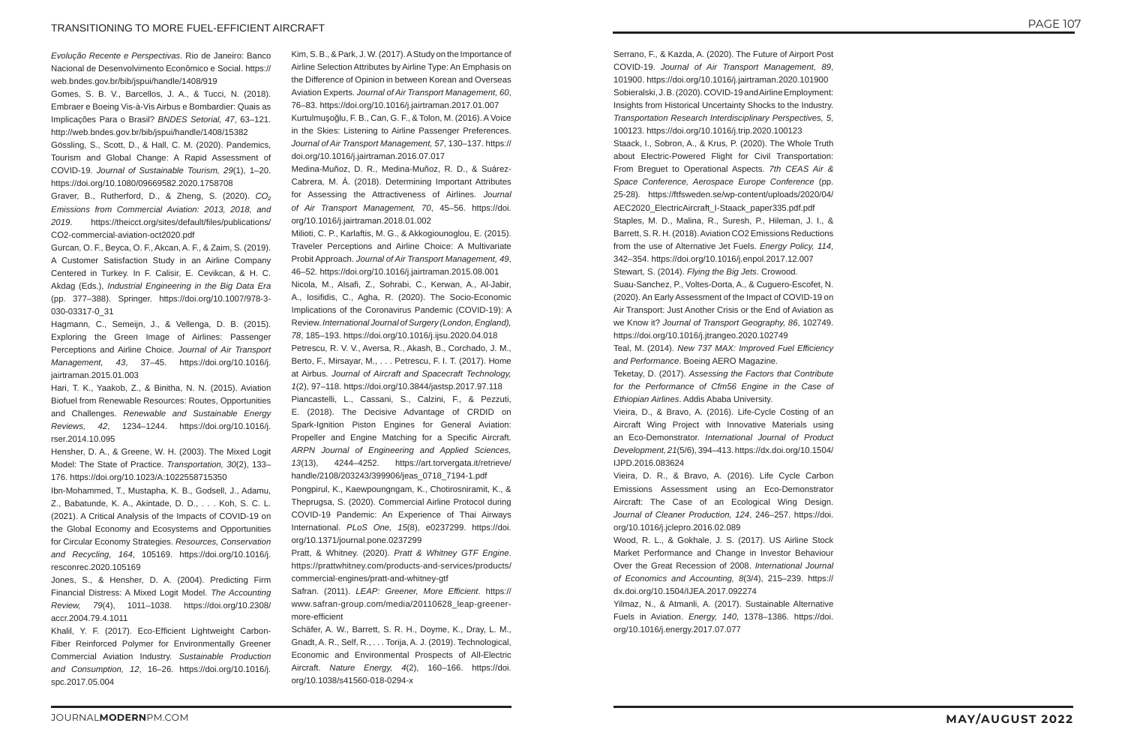*Evolução Recente e Perspectivas*. Rio de Janeiro: Banco Nacional de Desenvolvimento Econômico e Social. https:// web.bndes.gov.br/bib/jspui/handle/1408/919

Gomes, S. B. V., Barcellos, J. A., & Tucci, N. (2018). Embraer e Boeing Vis-à-Vis Airbus e Bombardier: Quais as Implicações Para o Brasil? *BNDES Setorial, 47*, 63–121. http://web.bndes.gov.br/bib/jspui/handle/1408/15382 Gössling, S., Scott, D., & Hall, C. M. (2020). Pandemics, Tourism and Global Change: A Rapid Assessment of

COVID-19. *Journal of Sustainable Tourism, 29*(1), 1–20. https://doi.org/10.1080/09669582.2020.1758708

Graver, B., Rutherford, D., & Zheng, S. (2020). *CO₂ Emissions from Commercial Aviation: 2013, 2018, and 2019*. https://theicct.org/sites/default/files/publications/ CO2-commercial-aviation-oct2020.pdf

Gurcan, O. F., Beyca, O. F., Akcan, A. F., & Zaim, S. (2019). A Customer Satisfaction Study in an Airline Company Centered in Turkey. In F. Calisir, E. Cevikcan, & H. C. Akdag (Eds.), *Industrial Engineering in the Big Data Era* (pp. 377–388). Springer. https://doi.org/10.1007/978-3- 030-03317-0\_31

Hagmann, C., Semeijn, J., & Vellenga, D. B. (2015). Exploring the Green Image of Airlines: Passenger Perceptions and Airline Choice. *Journal of Air Transport Management, 43*, 37–45. https://doi.org/10.1016/j. jairtraman.2015.01.003

Hari, T. K., Yaakob, Z., & Binitha, N. N. (2015). Aviation Biofuel from Renewable Resources: Routes, Opportunities and Challenges. *Renewable and Sustainable Energy Reviews, 42*, 1234–1244. https://doi.org/10.1016/j. rser.2014.10.095

Hensher, D. A., & Greene, W. H. (2003). The Mixed Logit Model: The State of Practice. *Transportation, 30*(2), 133– 176. https://doi.org/10.1023/A:1022558715350

Ibn-Mohammed, T., Mustapha, K. B., Godsell, J., Adamu, Z., Babatunde, K. A., Akintade, D. D., . . . Koh, S. C. L. (2021). A Critical Analysis of the Impacts of COVID-19 on the Global Economy and Ecosystems and Opportunities for Circular Economy Strategies. *Resources, Conservation and Recycling, 164*, 105169. https://doi.org/10.1016/j. resconrec.2020.105169

Jones, S., & Hensher, D. A. (2004). Predicting Firm Financial Distress: A Mixed Logit Model. *The Accounting Review, 79*(4), 1011–1038. https://doi.org/10.2308/ accr.2004.79.4.1011

Khalil, Y. F. (2017). Eco-Efficient Lightweight Carbon-Fiber Reinforced Polymer for Environmentally Greener Commercial Aviation Industry. *Sustainable Production and Consumption, 12*, 16–26. https://doi.org/10.1016/j. spc.2017.05.004

Kim, S. B., & Park, J. W. (2017). A Study on the Importance of Airline Selection Attributes by Airline Type: An Emphasis on the Difference of Opinion in between Korean and Overseas Aviation Experts. *Journal of Air Transport Management, 60*, 76–83. https://doi.org/10.1016/j.jairtraman.2017.01.007 Kurtulmuşoğlu, F. B., Can, G. F., & Tolon, M. (2016). A Voice in the Skies: Listening to Airline Passenger Preferences. *Journal of Air Transport Management, 57*, 130–137. https:// doi.org/10.1016/j.jairtraman.2016.07.017

Medina-Muñoz, D. R., Medina-Muñoz, R. D., & Suárez-Cabrera, M. Á. (2018). Determining Important Attributes for Assessing the Attractiveness of Airlines. *Journal of Air Transport Management, 70*, 45–56. https://doi. org/10.1016/j.jairtraman.2018.01.002

Milioti, C. P., Karlaftis, M. G., & Akkogiounoglou, E. (2015). Traveler Perceptions and Airline Choice: A Multivariate Probit Approach. *Journal of Air Transport Management, 49*, 46–52. https://doi.org/10.1016/j.jairtraman.2015.08.001

Nicola, M., Alsafi, Z., Sohrabi, C., Kerwan, A., Al-Jabir, A., Iosifidis, C., Agha, R. (2020). The Socio-Economic Implications of the Coronavirus Pandemic (COVID-19): A Review. *International Journal of Surgery (London, England), 78*, 185–193. https://doi.org/10.1016/j.ijsu.2020.04.018

Petrescu, R. V. V., Aversa, R., Akash, B., Corchado, J. M., Berto, F., Mirsayar, M., . . . Petrescu, F. I. T. (2017). Home at Airbus. *Journal of Aircraft and Spacecraft Technology, 1*(2), 97–118. https://doi.org/10.3844/jastsp.2017.97.118 Piancastelli, L., Cassani, S., Calzini, F., & Pezzuti, E. (2018). The Decisive Advantage of CRDID on Spark-Ignition Piston Engines for General Aviation: Propeller and Engine Matching for a Specific Aircraft. *ARPN Journal of Engineering and Applied Sciences, 13*(13), 4244–4252. https://art.torvergata.it/retrieve/ handle/2108/203243/399906/jeas\_0718\_7194-1.pdf

Pongpirul, K., Kaewpoungngam, K., Chotirosniramit, K., & Theprugsa, S. (2020). Commercial Airline Protocol during COVID-19 Pandemic: An Experience of Thai Airways International. *PLoS One, 15*(8), e0237299. https://doi. org/10.1371/journal.pone.0237299

Pratt, & Whitney. (2020). *Pratt & Whitney GTF Engine*. https://prattwhitney.com/products-and-services/products/ commercial-engines/pratt-and-whitney-gtf

Safran. (2011). *LEAP: Greener, More Efficient*. https:// www.safran-group.com/media/20110628\_leap-greenermore-efficient

Schäfer, A. W., Barrett, S. R. H., Doyme, K., Dray, L. M., Gnadt, A. R., Self, R., . . . Torija, A. J. (2019). Technological, Economic and Environmental Prospects of All-Electric Aircraft. *Nature Energy, 4*(2), 160–166. https://doi. org/10.1038/s41560-018-0294-x

Serrano, F., & Kazda, A. (2020). The Future of Airport Post

COVID-19. *Journal of Air Transport Management, 89*, 101900. https://doi.org/10.1016/j.jairtraman.2020.101900 Sobieralski, J. B. (2020). COVID-19 and Airline Employment: Insights from Historical Uncertainty Shocks to the Industry. *Transportation Research Interdisciplinary Perspectives, 5*, 100123. https://doi.org/10.1016/j.trip.2020.100123 Staack, I., Sobron, A., & Krus, P. (2020). The Whole Truth about Electric-Powered Flight for Civil Transportation: From Breguet to Operational Aspects. *7th CEAS Air & Space Conference, Aerospace Europe Conference* (pp. 25-28) *.* https://ftfsweden.se/wp-content/uploads/2020/04/ AEC2020\_ElectricAircraft\_I-Staack\_paper335.pdf.pdf Staples, M. D., Malina, R., Suresh, P., Hileman, J. I., & Barrett, S. R. H. (2018). Aviation CO2 Emissions Reductions from the use of Alternative Jet Fuels. *Energy Policy, 114*, 342–354. https://doi.org/10.1016/j.enpol.2017.12.007 Stewart, S. (2014). *Flying the Big Jets*. Crowood. Suau-Sanchez, P., Voltes-Dorta, A., & Cuguero-Escofet, N. (2020). An Early Assessment of the Impact of COVID-19 on Air Transport: Just Another Crisis or the End of Aviation as we Know it? *Journal of Transport Geography, 86*, 102749. https://doi.org/10.1016/j.jtrangeo.2020.102749 Teal, M. (2014). *New 737 MAX: Improved Fuel Efficiency* 

*and Performance*. Boeing AERO Magazine. Teketay, D. (2017). *Assessing the Factors that Contribute* 

*for the Performance of Cfm56 Engine in the Case of Ethiopian Airlines*. Addis Ababa University.

Vieira, D., & Bravo, A. (2016). Life-Cycle Costing of an Aircraft Wing Project with Innovative Materials using an Eco-Demonstrator. *International Journal of Product Development, 21*(5/6), 394–413. https://dx.doi.org/10.1504/ IJPD.2016.083624

Vieira, D. R., & Bravo, A. (2016). Life Cycle Carbon Emissions Assessment using an Eco-Demonstrator Aircraft: The Case of an Ecological Wing Design. *Journal of Cleaner Production, 124*, 246–257. https://doi. org/10.1016/j.jclepro.2016.02.089

Wood, R. L., & Gokhale, J. S. (2017). US Airline Stock Market Performance and Change in Investor Behaviour Over the Great Recession of 2008. *International Journal of Economics and Accounting, 8*(3/4), 215–239. https:// dx.doi.org/10.1504/IJEA.2017.092274

Yilmaz, N., & Atmanli, A. (2017). Sustainable Alternative Fuels in Aviation. *Energy, 140*, 1378–1386. https://doi. org/10.1016/j.energy.2017.07.077